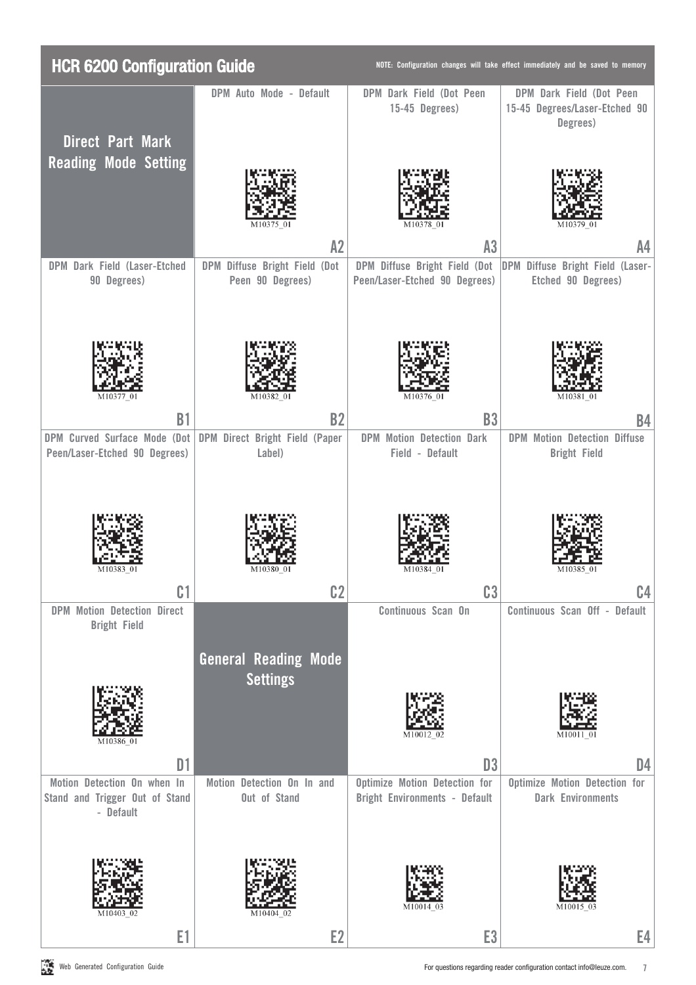| <b>HCR 6200 Configuration Guide</b>                                        |                                                   |                                                                              | NOTE: Configuration changes will take effect immediately and be saved to memory |
|----------------------------------------------------------------------------|---------------------------------------------------|------------------------------------------------------------------------------|---------------------------------------------------------------------------------|
|                                                                            | DPM Auto Mode - Default                           | DPM Dark Field (Dot Peen<br>15-45 Degrees)                                   | DPM Dark Field (Dot Peen<br>15-45 Degrees/Laser-Etched 90<br>Degrees)           |
| <b>Direct Part Mark</b>                                                    |                                                   |                                                                              |                                                                                 |
| <b>Reading Mode Setting</b>                                                |                                                   |                                                                              |                                                                                 |
|                                                                            | A2                                                | A <sub>3</sub>                                                               | A <sub>4</sub>                                                                  |
| DPM Dark Field (Laser-Etched<br>90 Degrees)                                | DPM Diffuse Bright Field (Dot<br>Peen 90 Degrees) | DPM Diffuse Bright Field (Dot<br>Peen/Laser-Etched 90 Degrees)               | DPM Diffuse Bright Field (Laser-<br>Etched 90 Degrees)                          |
| M10377 01                                                                  | M10382 01                                         | M10376 01                                                                    | M10381 01                                                                       |
| <b>B1</b>                                                                  | <b>B2</b>                                         | <b>B3</b>                                                                    | <b>B4</b>                                                                       |
| DPM Curved Surface Mode (Dot<br>Peen/Laser-Etched 90 Degrees)              | DPM Direct Bright Field (Paper<br>Label)          | <b>DPM Motion Detection Dark</b><br>Field - Default                          | <b>DPM Motion Detection Diffuse</b><br><b>Bright Field</b>                      |
| M10383 01                                                                  | M10380 01                                         | M10384<br>$^{01}$                                                            | M10385<br>-01                                                                   |
| C <sub>1</sub>                                                             | C <sub>2</sub>                                    | C <sub>3</sub>                                                               | C.4                                                                             |
| <b>DPM Motion Detection Direct</b><br><b>Bright Field</b>                  |                                                   | Continuous Scan On                                                           | Continuous Scan Off - Default                                                   |
|                                                                            | <b>General Reading Mode</b><br><b>Settings</b>    |                                                                              |                                                                                 |
|                                                                            |                                                   |                                                                              |                                                                                 |
| D <sub>1</sub>                                                             |                                                   | D <sub>3</sub>                                                               | D4                                                                              |
| Motion Detection On when In<br>Stand and Trigger Out of Stand<br>- Default | Motion Detection On In and<br>Out of Stand        | <b>Optimize Motion Detection for</b><br><b>Bright Environments - Default</b> | <b>Optimize Motion Detection for</b><br><b>Dark Environments</b>                |
|                                                                            |                                                   |                                                                              |                                                                                 |
| E1                                                                         | E <sub>2</sub>                                    | E <sub>3</sub>                                                               | E4                                                                              |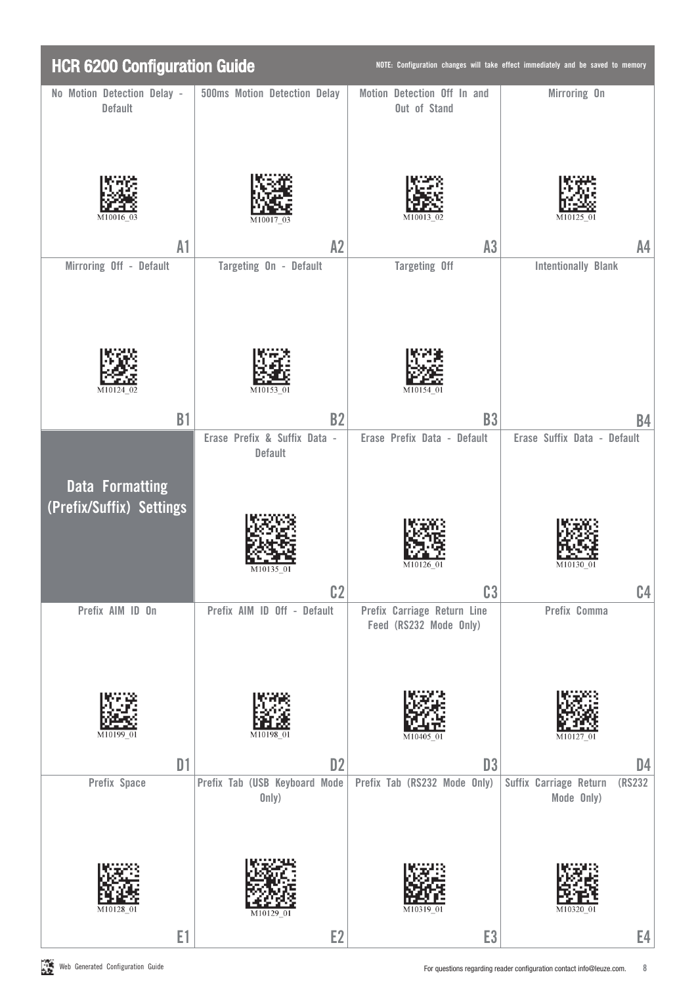| <b>HCR 6200 Configuration Guide</b>                |                                                  |                                                       | NOTE: Configuration changes will take effect immediately and be saved to memory |
|----------------------------------------------------|--------------------------------------------------|-------------------------------------------------------|---------------------------------------------------------------------------------|
| No Motion Detection Delay -<br><b>Default</b>      | 500ms Motion Detection Delay                     | Motion Detection Off In and<br>Out of Stand           | Mirroring On                                                                    |
|                                                    |                                                  |                                                       |                                                                                 |
| A1                                                 | A2                                               | A3                                                    | A4                                                                              |
| Mirroring Off - Default                            | Targeting On - Default                           | <b>Targeting Off</b>                                  | <b>Intentionally Blank</b>                                                      |
| M10124                                             | M10153 01                                        | M10154 01                                             |                                                                                 |
| <b>B1</b>                                          | <b>B2</b><br>Erase Prefix & Suffix Data -        | <b>B3</b><br>Erase Prefix Data - Default              | B4<br>Erase Suffix Data - Default                                               |
| <b>Data Formatting</b><br>(Prefix/Suffix) Settings | Default<br>C <sub>2</sub>                        | C <sub>3</sub>                                        | C <sub>4</sub>                                                                  |
| Prefix AIM ID On<br>M10199                         | Prefix AIM ID Off - Default<br>M10198-01         | Prefix Carriage Return Line<br>Feed (RS232 Mode Only) | Prefix Comma                                                                    |
| D1                                                 | D <sub>2</sub>                                   | D <sub>3</sub>                                        | D <sub>4</sub>                                                                  |
| Prefix Space                                       | Prefix Tab (USB Keyboard Mode<br>0nly)<br>M10129 | Prefix Tab (RS232 Mode Only)                          | Suffix Carriage Return<br>(RS232<br>Mode Only)                                  |
| E1                                                 | E <sub>2</sub>                                   | E <sub>3</sub>                                        | E4                                                                              |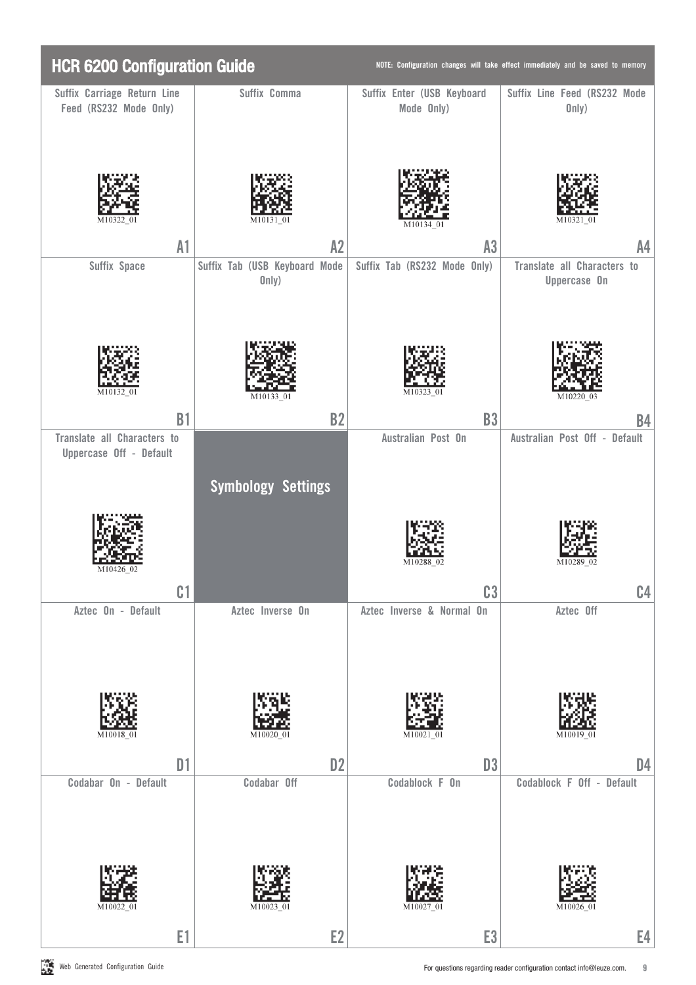| <b>HCR 6200 Configuration Guide</b>                    |                                        |                                          | NOTE: Configuration changes will take effect immediately and be saved to memory |
|--------------------------------------------------------|----------------------------------------|------------------------------------------|---------------------------------------------------------------------------------|
| Suffix Carriage Return Line<br>Feed (RS232 Mode Only)  | Suffix Comma                           | Suffix Enter (USB Keyboard<br>Mode Only) | Suffix Line Feed (RS232 Mode<br>0nly)                                           |
|                                                        |                                        |                                          | M1032<br>-01                                                                    |
| A1                                                     | A2                                     | A3                                       | A4                                                                              |
| Suffix Space                                           | Suffix Tab (USB Keyboard Mode<br>0nly) | Suffix Tab (RS232 Mode Only)             | Translate all Characters to<br>Uppercase On                                     |
| M10132 01                                              | M10133                                 |                                          | M10220-03                                                                       |
| <b>B1</b>                                              | <b>B2</b>                              | <b>B3</b>                                | B4                                                                              |
| Translate all Characters to<br>Uppercase Off - Default | <b>Symbology Settings</b>              | Australian Post On                       | Australian Post Off - Default                                                   |
| C <sub>1</sub>                                         |                                        | C <sub>3</sub>                           | C <sub>4</sub>                                                                  |
| Aztec On - Default                                     | Aztec Inverse On                       | Aztec Inverse & Normal On                | Aztec Off                                                                       |
| M10018                                                 | M10020 0                               | M10021-01                                | M10019 01                                                                       |
| D1<br>Codabar On - Default                             | D <sub>2</sub><br>Codabar Off          | D <sub>3</sub><br>Codablock F On         | D <sub>4</sub><br>Codablock F Off - Default                                     |
| E1                                                     | E <sub>2</sub>                         | E <sub>3</sub>                           | E4                                                                              |
|                                                        |                                        |                                          |                                                                                 |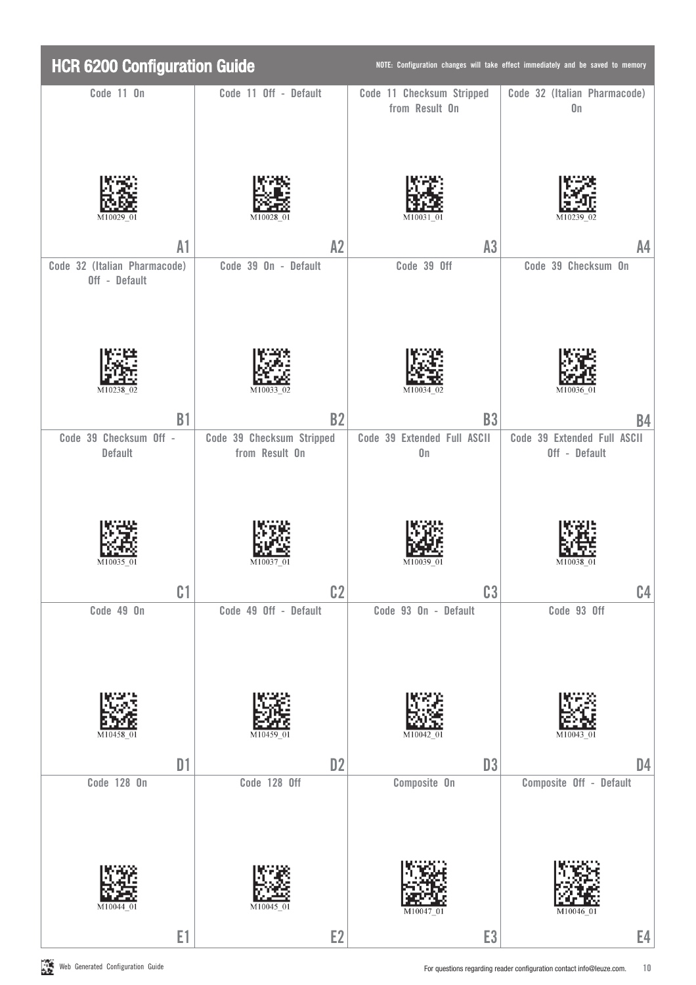| <b>HCR 6200 Configuration Guide</b>           |                                             |                                              | NOTE: Configuration changes will take effect immediately and be saved to memory |
|-----------------------------------------------|---------------------------------------------|----------------------------------------------|---------------------------------------------------------------------------------|
| Code 11 On                                    | Code 11 Off - Default                       | Code 11 Checksum Stripped<br>from Result On  | Code 32 (Italian Pharmacode)<br>$0\mathsf{n}$                                   |
| M10029                                        |                                             | M10031                                       |                                                                                 |
| A1                                            | A2                                          | A3                                           | A <sub>4</sub>                                                                  |
| Code 32 (Italian Pharmacode)<br>Off - Default | Code 39 On - Default                        | Code 39 Off                                  | Code 39 Checksum On                                                             |
| M10238                                        | M10033 02                                   | M10034                                       | M10036-01                                                                       |
| <b>B1</b>                                     | <b>B2</b>                                   | <b>B3</b>                                    | <b>B4</b>                                                                       |
| Code 39 Checksum Off -<br>Default             | Code 39 Checksum Stripped<br>from Result On | Code 39 Extended Full ASCII<br>$0\mathsf{n}$ | Code 39 Extended Full ASCII<br>Off - Default                                    |
|                                               |                                             |                                              |                                                                                 |
| C <sub>1</sub>                                | C <sub>2</sub>                              | C <sub>3</sub>                               | C <sub>4</sub>                                                                  |
| Code 49 On                                    | Code 49 Off - Default                       | Code 93 On - Default                         | Code 93 Off                                                                     |
| M1045                                         | M10459                                      | M10042                                       | M10043 01                                                                       |
| D1                                            | D <sub>2</sub>                              | D <sub>3</sub>                               | D <sub>4</sub>                                                                  |
| Code 128 On<br>M10044 0                       | Code 128 Off<br>M10045                      | Composite On                                 | Composite Off - Default                                                         |
| E1                                            | E <sub>2</sub>                              | E <sub>3</sub>                               | E4                                                                              |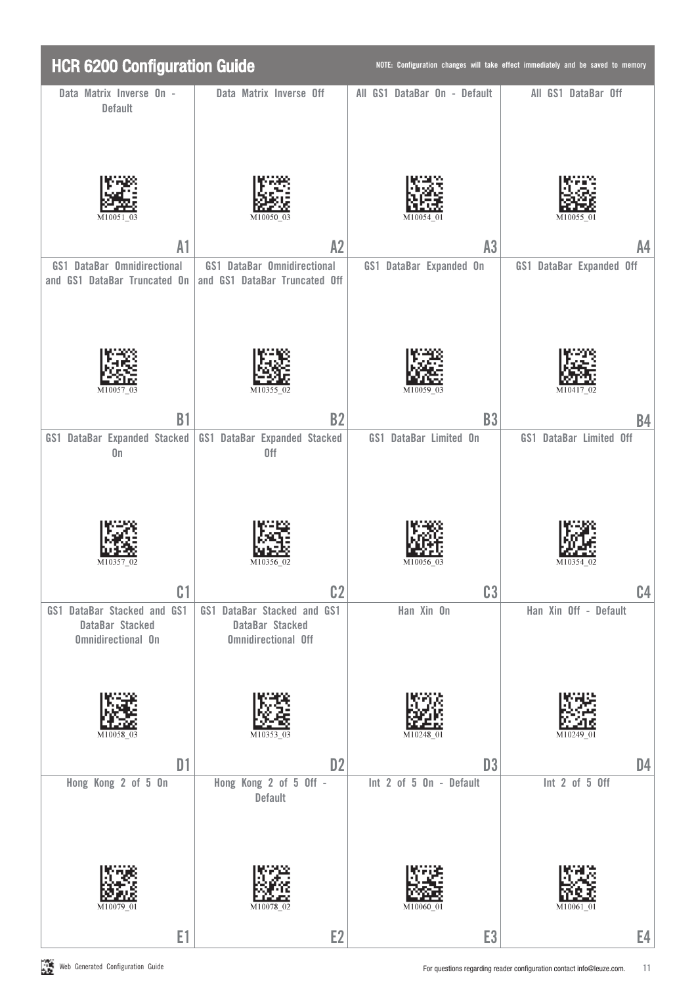| <b>HCR 6200 Configuration Guide</b>                                         |                                                                              |                                           | NOTE: Configuration changes will take effect immediately and be saved to memory |
|-----------------------------------------------------------------------------|------------------------------------------------------------------------------|-------------------------------------------|---------------------------------------------------------------------------------|
| Data Matrix Inverse On -<br><b>Default</b>                                  | Data Matrix Inverse Off                                                      | All GS1 DataBar On - Default              | All GS1 DataBar Off                                                             |
|                                                                             |                                                                              |                                           |                                                                                 |
| A1                                                                          | A2                                                                           | A3                                        | A4                                                                              |
| GS1 DataBar Omnidirectional<br>and GS1 DataBar Truncated On                 | <b>GS1 DataBar Omnidirectional</b><br>and GS1 DataBar Truncated Off          | GS1 DataBar Expanded On                   | <b>GS1 DataBar Expanded Off</b>                                                 |
|                                                                             |                                                                              |                                           |                                                                                 |
| <b>B1</b>                                                                   | <b>B2</b>                                                                    | <b>B3</b>                                 | <b>B4</b>                                                                       |
| GS1 DataBar Expanded Stacked<br>$0\mathsf{n}$                               | GS1 DataBar Expanded Stacked<br>0ff                                          | GS1 DataBar Limited On                    | GS1 DataBar Limited Off                                                         |
| C <sub>1</sub>                                                              | c <sub>2</sub>                                                               | C <sub>3</sub>                            | C <sub>4</sub>                                                                  |
| GS1 DataBar Stacked and GS1<br>DataBar Stacked<br><b>Omnidirectional On</b> | GS1 DataBar Stacked and GS1<br>DataBar Stacked<br><b>Omnidirectional Off</b> | Han Xin On                                | Han Xin Off - Default                                                           |
|                                                                             | M1035                                                                        |                                           |                                                                                 |
| D1<br>Hong Kong 2 of 5 On                                                   | D <sub>2</sub><br>Hong Kong 2 of 5 Off -<br>Default                          | D <sub>3</sub><br>Int 2 of 5 On - Default | D <sub>4</sub><br>Int 2 of 5 Off                                                |
|                                                                             |                                                                              | M10060                                    |                                                                                 |
| E1                                                                          | E <sub>2</sub>                                                               | E <sub>3</sub>                            | E4                                                                              |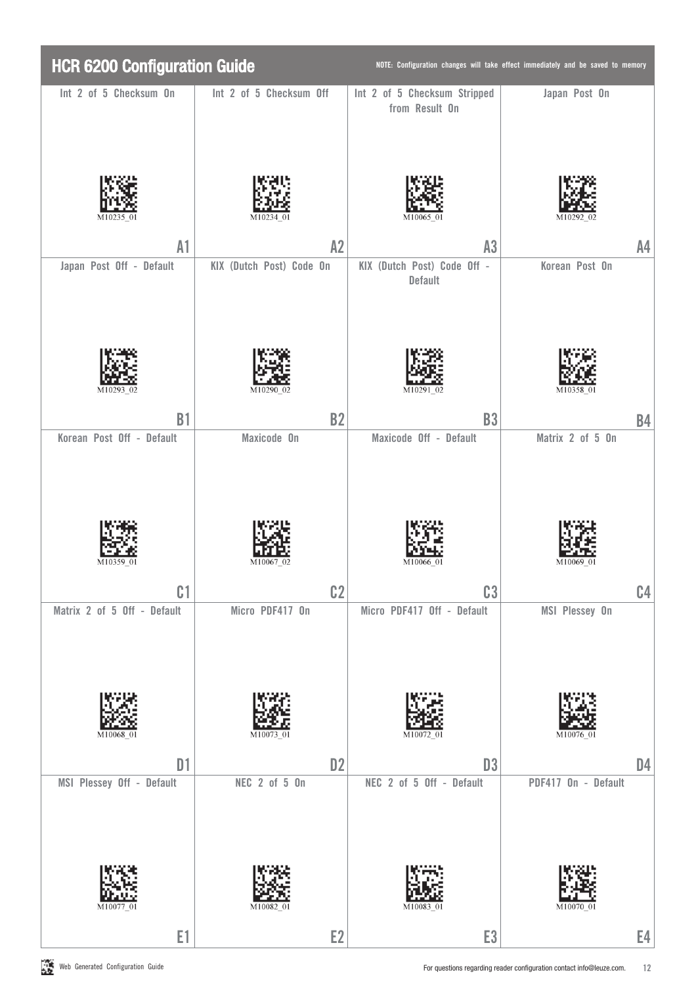| <b>HCR 6200 Configuration Guide</b>         |                                 |                                                  | NOTE: Configuration changes will take effect immediately and be saved to memory |
|---------------------------------------------|---------------------------------|--------------------------------------------------|---------------------------------------------------------------------------------|
| Int 2 of 5 Checksum On                      | Int 2 of 5 Checksum Off         | Int 2 of 5 Checksum Stripped<br>from Result On   | Japan Post On                                                                   |
| M102                                        |                                 | M10065                                           |                                                                                 |
| A1                                          | A2                              | A3                                               | A4                                                                              |
| Japan Post Off - Default                    | KIX (Dutch Post) Code On        | KIX (Dutch Post) Code Off -<br>Default           | Korean Post On                                                                  |
|                                             | M10290                          | M10291 02                                        |                                                                                 |
| <b>B1</b>                                   | <b>B2</b>                       | <b>B3</b>                                        | <b>B4</b>                                                                       |
| Korean Post Off - Default<br>C <sub>1</sub> | Maxicode On<br>C <sub>2</sub>   | Maxicode Off - Default<br>C <sub>3</sub>         | Matrix 2 of 5 On<br>C <sub>4</sub>                                              |
| Matrix 2 of 5 Off - Default<br>M10068 01    | Micro PDF417 On<br>M10073 01    | Micro PDF417 Off - Default<br>M10072<br>$\Omega$ | MSI Plessey On<br>M10076 01                                                     |
| D1<br>MSI Plessey Off - Default             | D <sub>2</sub><br>NEC 2 of 5 0n | D <sub>3</sub><br>NEC 2 of 5 Off - Default       | D <sub>4</sub><br>PDF417 On - Default                                           |
| M10077<br>E1                                | M10082<br>E <sub>2</sub>        | M10083 0<br>E <sub>3</sub>                       | E4                                                                              |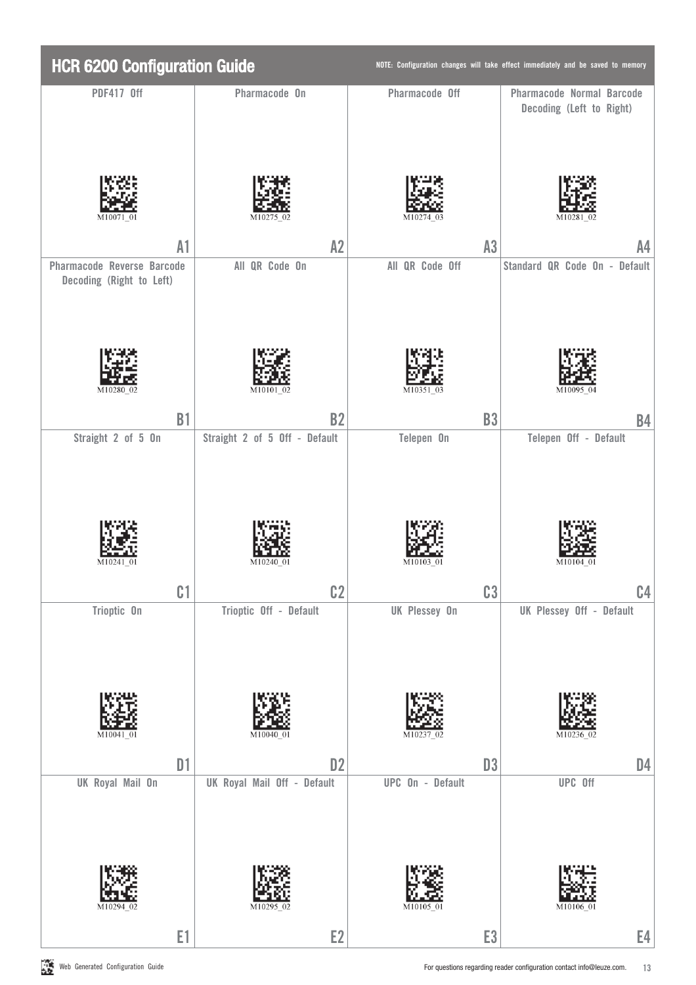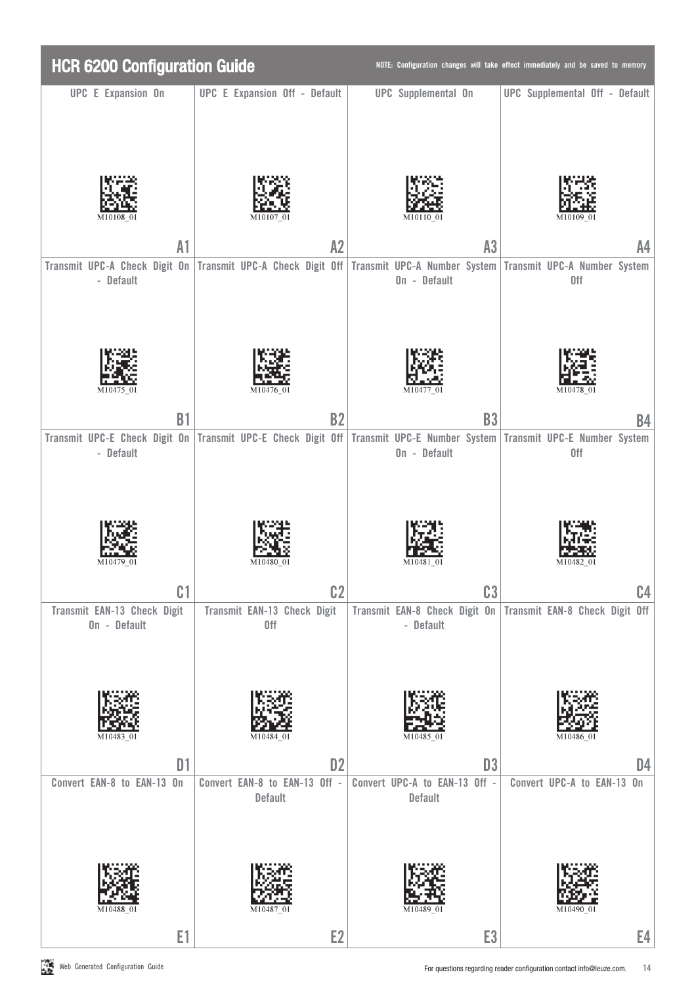| <b>HCR 6200 Configuration Guide</b>         |                                                                                                                        |                                                                           | NOTE: Configuration changes will take effect immediately and be saved to memory |
|---------------------------------------------|------------------------------------------------------------------------------------------------------------------------|---------------------------------------------------------------------------|---------------------------------------------------------------------------------|
| <b>UPC E Expansion On</b>                   | <b>UPC E Expansion Off - Default</b>                                                                                   | <b>UPC</b> Supplemental On                                                | <b>UPC</b> Supplemental Off - Default                                           |
| M1010                                       |                                                                                                                        |                                                                           |                                                                                 |
| A1                                          | A2                                                                                                                     | A3                                                                        | A4                                                                              |
| - Default                                   | Transmit UPC-A Check Digit On Transmit UPC-A Check Digit Off Transmit UPC-A Number System Transmit UPC-A Number System | On - Default                                                              | 0ff                                                                             |
| M10475 01                                   | M10476 01                                                                                                              | M10477 01                                                                 | M10478 01                                                                       |
| <b>B1</b>                                   | <b>B2</b>                                                                                                              | <b>B3</b>                                                                 | B4                                                                              |
| - Default                                   | Transmit UPC-E Check Digit On Transmit UPC-E Check Digit Off Transmit UPC-E Number System Transmit UPC-E Number System | On - Default                                                              | 0ff                                                                             |
| C <sub>1</sub>                              | c <sub>2</sub>                                                                                                         | C <sub>3</sub>                                                            | C.4                                                                             |
| Transmit EAN-13 Check Digit<br>On - Default | Transmit EAN-13 Check Digit<br>0ff                                                                                     | Transmit EAN-8 Check Digit On Transmit EAN-8 Check Digit Off<br>- Default |                                                                                 |
| D <sub>1</sub>                              | D <sub>2</sub>                                                                                                         | D <sub>3</sub>                                                            | D4                                                                              |
| Convert EAN-8 to EAN-13 On<br>M10488 01     | Convert EAN-8 to EAN-13 Off -<br>Default<br>M10487 01                                                                  | Convert UPC-A to EAN-13 Off -<br>Default                                  | Convert UPC-A to EAN-13 On                                                      |
| E1                                          | E <sub>2</sub>                                                                                                         | E <sub>3</sub>                                                            | E4                                                                              |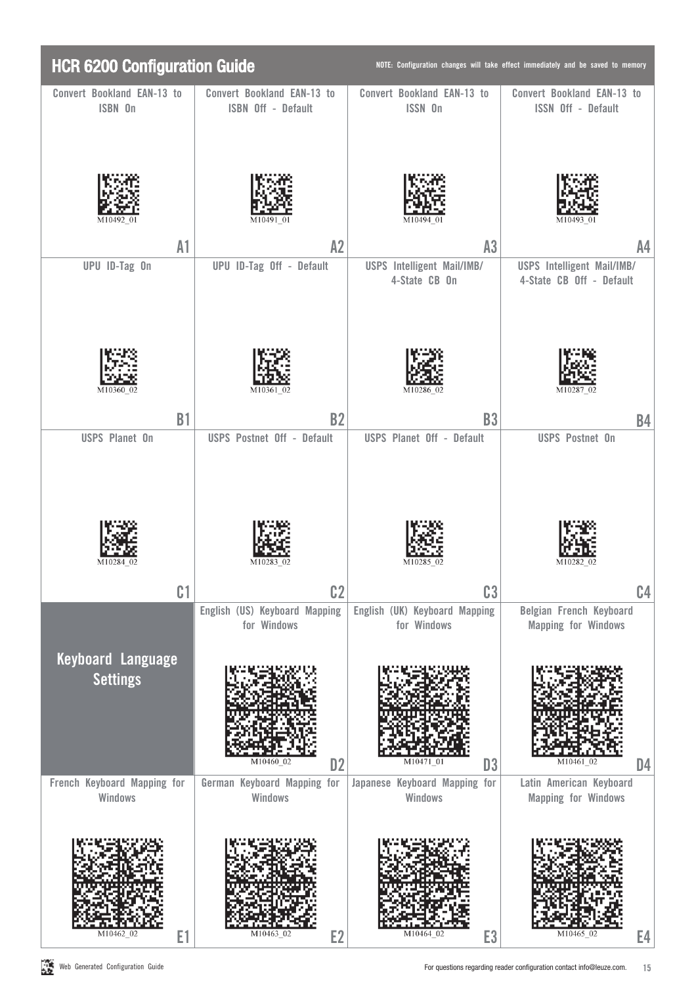| <b>HCR 6200 Configuration Guide</b>         |                                                  |                                                 | NOTE: Configuration changes will take effect immediately and be saved to memory |
|---------------------------------------------|--------------------------------------------------|-------------------------------------------------|---------------------------------------------------------------------------------|
| Convert Bookland EAN-13 to<br>ISBN 0n       | Convert Bookland EAN-13 to<br>ISBN Off - Default | Convert Bookland EAN-13 to<br>ISSN On           | Convert Bookland EAN-13 to<br><b>ISSN Off - Default</b>                         |
| M10492                                      |                                                  | M10494                                          |                                                                                 |
| A1                                          | A2                                               | A3                                              | A <sub>4</sub>                                                                  |
| UPU ID-Tag On                               | UPU ID-Tag Off - Default                         | USPS Intelligent Mail/IMB/<br>4-State CB On     | USPS Intelligent Mail/IMB/<br>4-State CB Off - Default                          |
| M10360 02                                   | M10361 02                                        | M10286<br>02                                    | M1028                                                                           |
| <b>B1</b>                                   | <b>B2</b>                                        | <b>B3</b>                                       | <b>B4</b>                                                                       |
| <b>USPS Planet On</b>                       | <b>USPS Postnet Off - Default</b>                | <b>USPS Planet Off - Default</b>                | <b>USPS Postnet On</b>                                                          |
| C <sub>1</sub>                              | C <sub>2</sub><br>English (US) Keyboard Mapping  | C <sub>3</sub><br>English (UK) Keyboard Mapping | C <sub>4</sub><br>Belgian French Keyboard                                       |
| <b>Keyboard Language</b><br><b>Settings</b> | for Windows<br>M10460 02<br>D <sub>2</sub>       | for Windows<br>M10471-01<br>D <sub>3</sub>      | <b>Mapping for Windows</b><br>M10461-02<br>D4                                   |
| French Keyboard Mapping for<br>Windows      | German Keyboard Mapping for<br>Windows           | Japanese Keyboard Mapping for<br>Windows        | Latin American Keyboard<br><b>Mapping for Windows</b>                           |
| M10462 02                                   | M10463<br>E2                                     | M10464 02                                       | M10465<br>Е4                                                                    |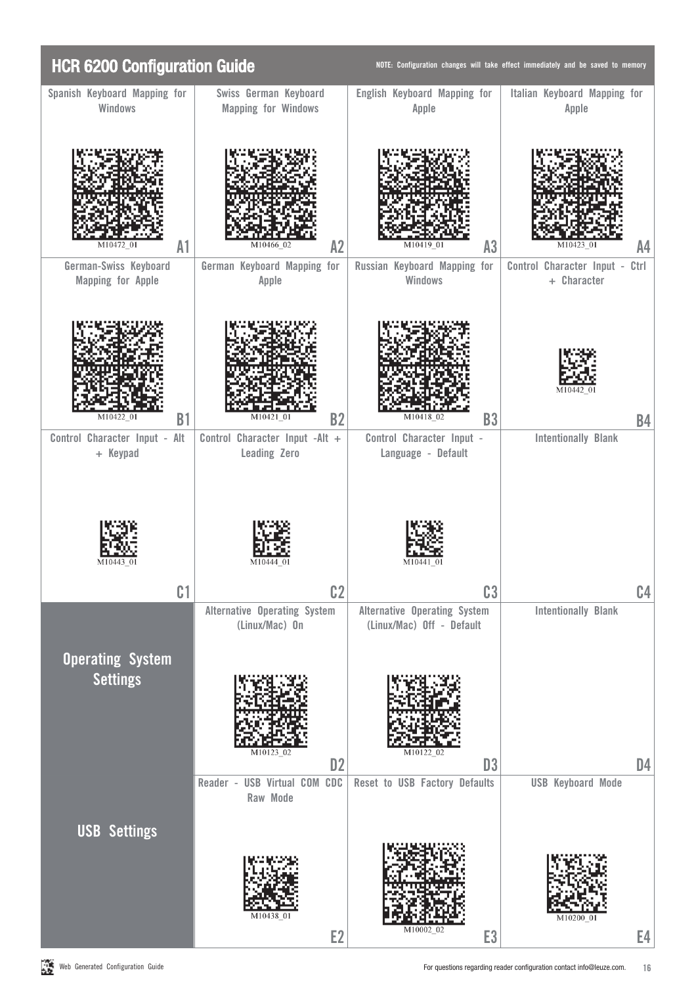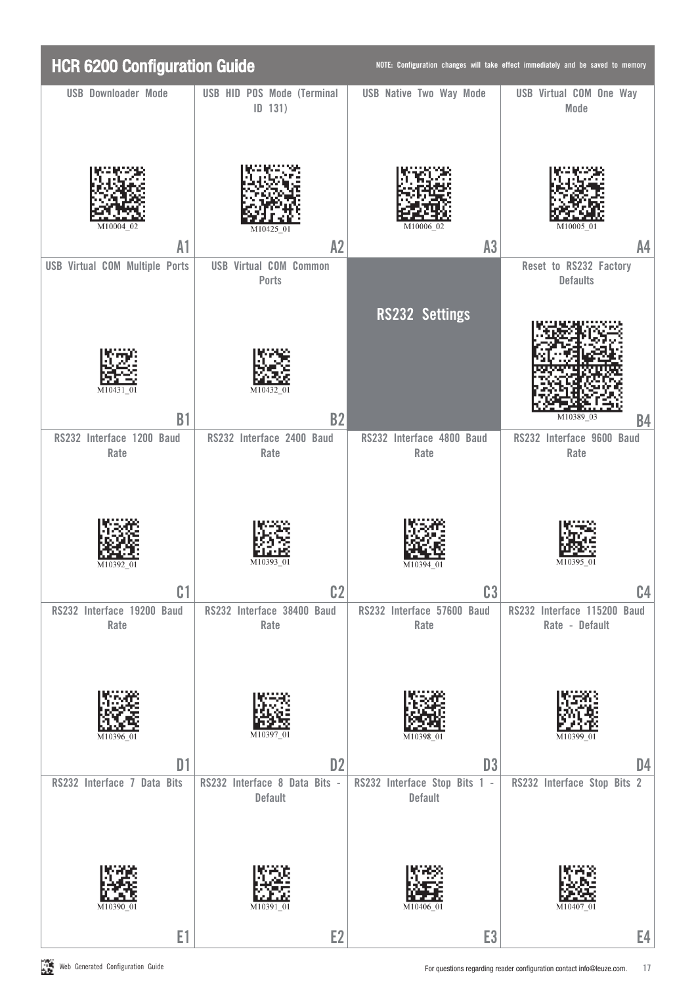| <b>HCR 6200 Configuration Guide</b> |                                        |                                              | NOTE: Configuration changes will take effect immediately and be saved to memory |                                               |  |
|-------------------------------------|----------------------------------------|----------------------------------------------|---------------------------------------------------------------------------------|-----------------------------------------------|--|
|                                     | <b>USB Downloader Mode</b>             | USB HID POS Mode (Terminal<br>ID 131)        | <b>USB Native Two Way Mode</b>                                                  | <b>USB Virtual COM One Way</b><br>Mode        |  |
|                                     | M10004 02                              | M10425-0                                     |                                                                                 | M10005                                        |  |
|                                     | A1                                     | A2                                           | A3                                                                              | A <sub>4</sub>                                |  |
|                                     | <b>USB Virtual COM Multiple Ports</b>  | <b>USB Virtual COM Common</b><br>Ports       |                                                                                 | Reset to RS232 Factory<br><b>Defaults</b>     |  |
|                                     |                                        | M10432                                       | <b>RS232 Settings</b>                                                           | M10389 03                                     |  |
|                                     | <b>B1</b><br>RS232 Interface 1200 Baud | <b>B2</b><br>RS232 Interface 2400 Baud       | RS232 Interface 4800 Baud                                                       | <b>B4</b><br>RS232 Interface 9600 Baud        |  |
|                                     | Rate<br>M10392                         | Rate                                         | Rate<br>M10394<br>(1)                                                           | Rate                                          |  |
|                                     | C <sub>1</sub>                         | C <sub>2</sub>                               | C <sub>3</sub>                                                                  | C4                                            |  |
|                                     | RS232 Interface 19200 Baud<br>Rate     | RS232 Interface 38400 Baud<br>Rate<br>M10397 | RS232 Interface 57600 Baud<br>Rate                                              | RS232 Interface 115200 Baud<br>Rate - Default |  |
|                                     | D <sub>1</sub>                         | D <sub>2</sub>                               | D <sub>3</sub>                                                                  | D <sub>4</sub>                                |  |
|                                     | RS232 Interface 7 Data Bits            | RS232 Interface 8 Data Bits -<br>Default     | RS232 Interface Stop Bits 1 -<br>Default                                        | RS232 Interface Stop Bits 2                   |  |
|                                     | M10390                                 |                                              | M10406                                                                          |                                               |  |
|                                     | E1                                     | E <sub>2</sub>                               | E <sub>3</sub>                                                                  | E4                                            |  |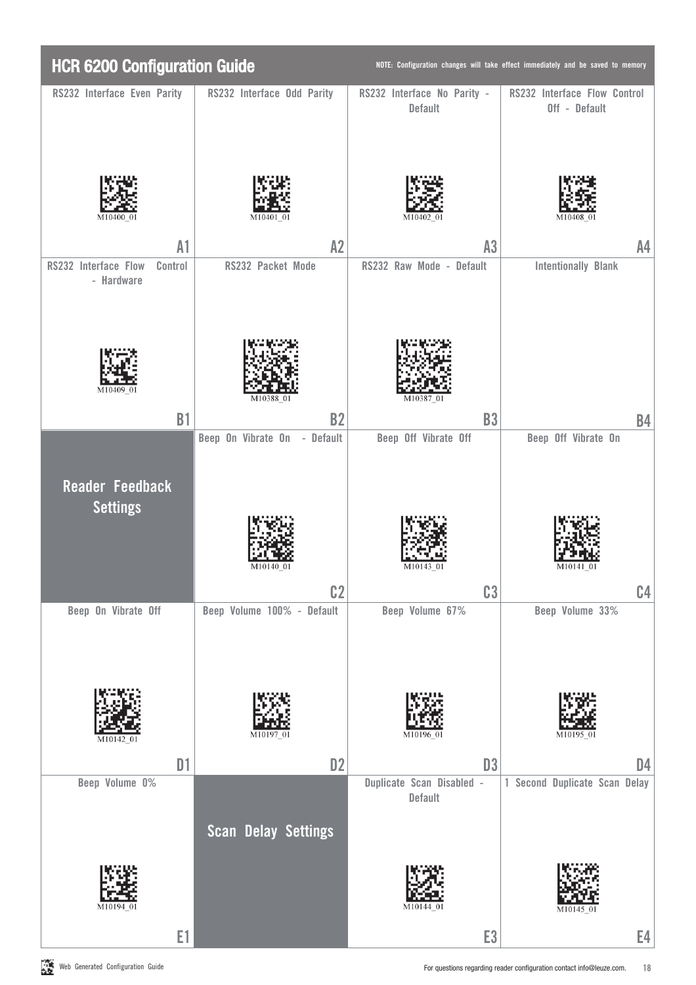| <b>HCR 6200 Configuration Guide</b>           |                                              |                                               | NOTE: Configuration changes will take effect immediately and be saved to memory |
|-----------------------------------------------|----------------------------------------------|-----------------------------------------------|---------------------------------------------------------------------------------|
| RS232 Interface Even Parity                   | RS232 Interface Odd Parity                   | RS232 Interface No Parity -<br><b>Default</b> | RS232 Interface Flow Control<br>Off - Default                                   |
|                                               |                                              |                                               |                                                                                 |
| A1                                            | A2                                           | A3                                            | A4                                                                              |
| RS232 Interface Flow<br>Control<br>- Hardware | RS232 Packet Mode                            | RS232 Raw Mode - Default                      | <b>Intentionally Blank</b>                                                      |
| M10409 01<br><b>B1</b>                        | M10388-0.<br><b>B2</b>                       | M10387<br><b>B3</b>                           |                                                                                 |
|                                               | Beep On Vibrate On - Default                 | Beep Off Vibrate Off                          | <b>B4</b><br>Beep Off Vibrate On                                                |
| <b>Reader Feedback</b><br><b>Settings</b>     | M10140 01                                    | (1)                                           | (1)                                                                             |
| Beep On Vibrate Off                           | C <sub>2</sub><br>Beep Volume 100% - Default | C <sub>3</sub><br>Beep Volume 67%             | C <sub>4</sub><br>Beep Volume 33%                                               |
|                                               |                                              |                                               |                                                                                 |
|                                               | M10197                                       | M10196-01                                     | M10195 01                                                                       |
| D1                                            | D <sub>2</sub>                               | D <sub>3</sub>                                | D4                                                                              |
| Beep Volume 0%                                | <b>Scan Delay Settings</b>                   | Duplicate Scan Disabled -<br>Default          | 1 Second Duplicate Scan Delay                                                   |
|                                               |                                              |                                               |                                                                                 |
| M10194                                        |                                              |                                               |                                                                                 |
| E1                                            |                                              | E <sub>3</sub>                                | E4                                                                              |